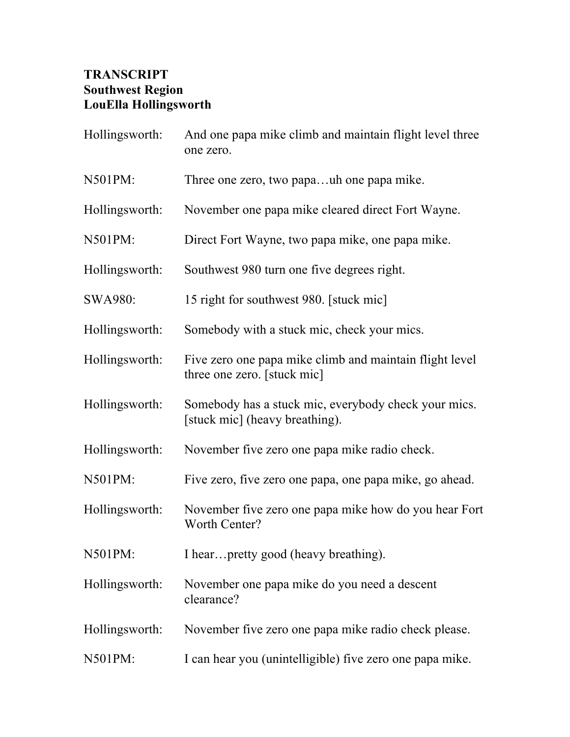## **TRANSCRIPT Southwest Region LouElla Hollingsworth**

| Hollingsworth: | And one papa mike climb and maintain flight level three<br>one zero.                   |
|----------------|----------------------------------------------------------------------------------------|
| N501PM:        | Three one zero, two papauh one papa mike.                                              |
| Hollingsworth: | November one papa mike cleared direct Fort Wayne.                                      |
| N501PM:        | Direct Fort Wayne, two papa mike, one papa mike.                                       |
| Hollingsworth: | Southwest 980 turn one five degrees right.                                             |
| <b>SWA980:</b> | 15 right for southwest 980. [stuck mic]                                                |
| Hollingsworth: | Somebody with a stuck mic, check your mics.                                            |
| Hollingsworth: | Five zero one papa mike climb and maintain flight level<br>three one zero. [stuck mic] |
| Hollingsworth: | Somebody has a stuck mic, everybody check your mics.<br>[stuck mic] (heavy breathing). |
| Hollingsworth: | November five zero one papa mike radio check.                                          |
| N501PM:        | Five zero, five zero one papa, one papa mike, go ahead.                                |
| Hollingsworth: | November five zero one papa mike how do you hear Fort<br>Worth Center?                 |
| N501PM:        | I hearpretty good (heavy breathing).                                                   |
| Hollingsworth: | November one papa mike do you need a descent<br>clearance?                             |
| Hollingsworth: | November five zero one papa mike radio check please.                                   |
| N501PM:        | I can hear you (unintelligible) five zero one papa mike.                               |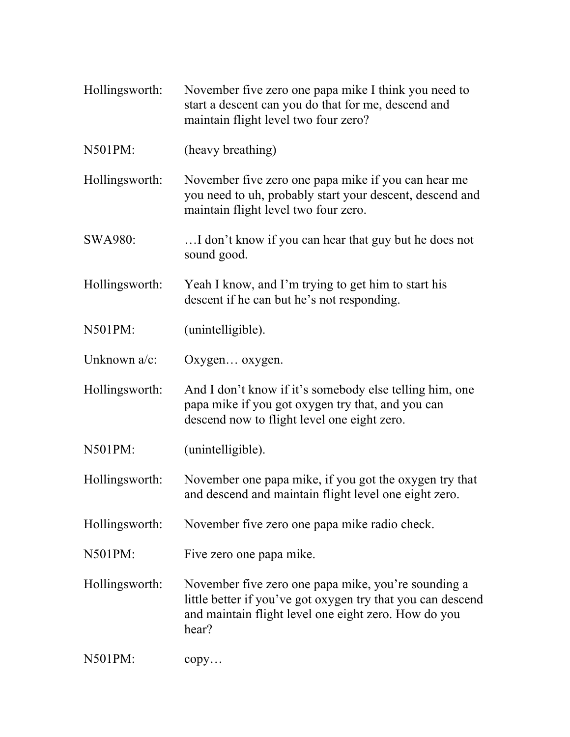- Hollingsworth: November five zero one papa mike I think you need to start a descent can you do that for me, descend and maintain flight level two four zero?
- N501PM: (heavy breathing)

Hollingsworth: November five zero one papa mike if you can hear me you need to uh, probably start your descent, descend and maintain flight level two four zero.

SWA980: …I don't know if you can hear that guy but he does not sound good.

Hollingsworth: Yeah I know, and I'm trying to get him to start his descent if he can but he's not responding.

N501PM: (unintelligible).

Unknown a/c: Oxygen... oxygen.

Hollingsworth: And I don't know if it's somebody else telling him, one papa mike if you got oxygen try that, and you can descend now to flight level one eight zero.

N501PM: (unintelligible).

Hollingsworth: November one papa mike, if you got the oxygen try that and descend and maintain flight level one eight zero.

Hollingsworth: November five zero one papa mike radio check.

N501PM: Five zero one papa mike.

Hollingsworth: November five zero one papa mike, you're sounding a little better if you've got oxygen try that you can descend and maintain flight level one eight zero. How do you hear?

N501PM: copy…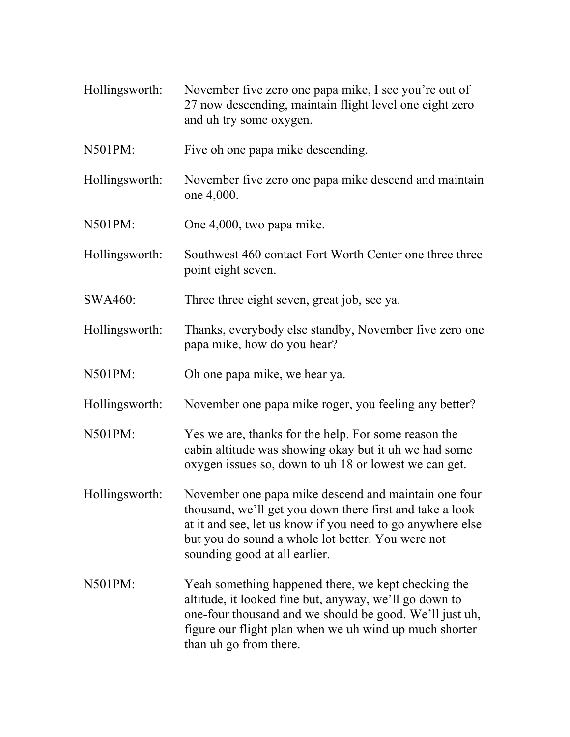- Hollingsworth: November five zero one papa mike, I see you're out of 27 now descending, maintain flight level one eight zero and uh try some oxygen.
- N501PM: Five oh one papa mike descending.
- Hollingsworth: November five zero one papa mike descend and maintain one 4,000.
- N501PM: One 4,000, two papa mike.
- Hollingsworth: Southwest 460 contact Fort Worth Center one three three point eight seven.
- SWA460: Three three eight seven, great job, see ya.
- Hollingsworth: Thanks, everybody else standby, November five zero one papa mike, how do you hear?
- N501PM: Oh one papa mike, we hear ya.
- Hollingsworth: November one papa mike roger, you feeling any better?
- N501PM: Yes we are, thanks for the help. For some reason the cabin altitude was showing okay but it uh we had some oxygen issues so, down to uh 18 or lowest we can get.
- Hollingsworth: November one papa mike descend and maintain one four thousand, we'll get you down there first and take a look at it and see, let us know if you need to go anywhere else but you do sound a whole lot better. You were not sounding good at all earlier.
- N501PM: Yeah something happened there, we kept checking the altitude, it looked fine but, anyway, we'll go down to one-four thousand and we should be good. We'll just uh, figure our flight plan when we uh wind up much shorter than uh go from there.